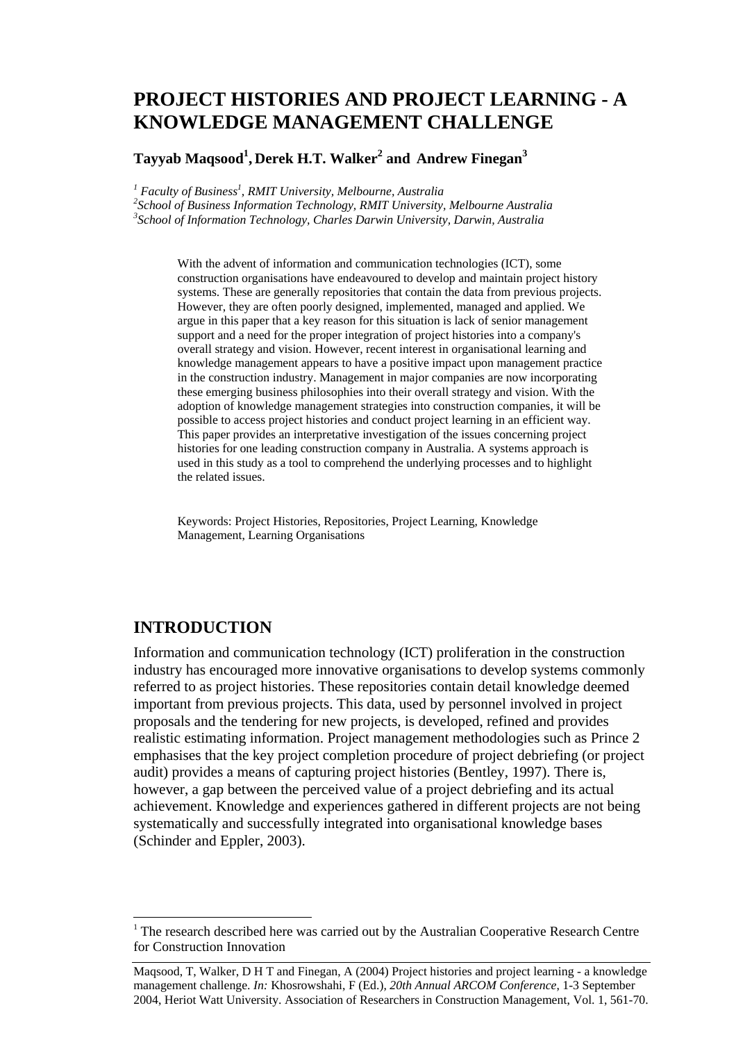# **PROJECT HISTORIES AND PROJECT LEARNING - A KNOWLEDGE MANAGEMENT CHALLENGE**

#### $\boldsymbol{\Gamma}$ ayyab Maqsood $^1$ , Derek H.T. Walker $^2$  and Andrew Finegan $^3$

<sup>1</sup> Faculty of Business<sup>1</sup>, RMIT University, Melbourne, Australia<br><sup>2</sup>Sebool of Business Information Technology, BMIT University

*School of Business Information Technology, RMIT University, Melbourne Australia 3 School of Information Technology, Charles Darwin University, Darwin, Australia* 

> With the advent of information and communication technologies (ICT), some construction organisations have endeavoured to develop and maintain project history systems. These are generally repositories that contain the data from previous projects. However, they are often poorly designed, implemented, managed and applied. We argue in this paper that a key reason for this situation is lack of senior management support and a need for the proper integration of project histories into a company's overall strategy and vision. However, recent interest in organisational learning and knowledge management appears to have a positive impact upon management practice in the construction industry. Management in major companies are now incorporating these emerging business philosophies into their overall strategy and vision. With the adoption of knowledge management strategies into construction companies, it will be possible to access project histories and conduct project learning in an efficient way. This paper provides an interpretative investigation of the issues concerning project histories for one leading construction company in Australia. A systems approach is used in this study as a tool to comprehend the underlying processes and to highlight the related issues.

Keywords: Project Histories, Repositories, Project Learning, Knowledge Management, Learning Organisations

### **INTRODUCTION**

 $\overline{a}$ 

Information and communication technology (ICT) proliferation in the construction industry has encouraged more innovative organisations to develop systems commonly referred to as project histories. These repositories contain detail knowledge deemed important from previous projects. This data, used by personnel involved in project proposals and the tendering for new projects, is developed, refined and provides realistic estimating information. Project management methodologies such as Prince 2 emphasises that the key project completion procedure of project debriefing (or project audit) provides a means of capturing project histories (Bentley, 1997). There is, however, a gap between the perceived value of a project debriefing and its actual achievement. Knowledge and experiences gathered in different projects are not being systematically and successfully integrated into organisational knowledge bases (Schinder and Eppler, 2003).

 $1$ <sup>1</sup> The research described here was carried out by the Australian Cooperative Research Centre for Construction Innovation

Maqsood, T, Walker, D H T and Finegan, A (2004) Project histories and project learning - a knowledge management challenge. *In:* Khosrowshahi, F (Ed.), *20th Annual ARCOM Conference*, 1-3 September 2004, Heriot Watt University. Association of Researchers in Construction Management, Vol. 1, 561-70.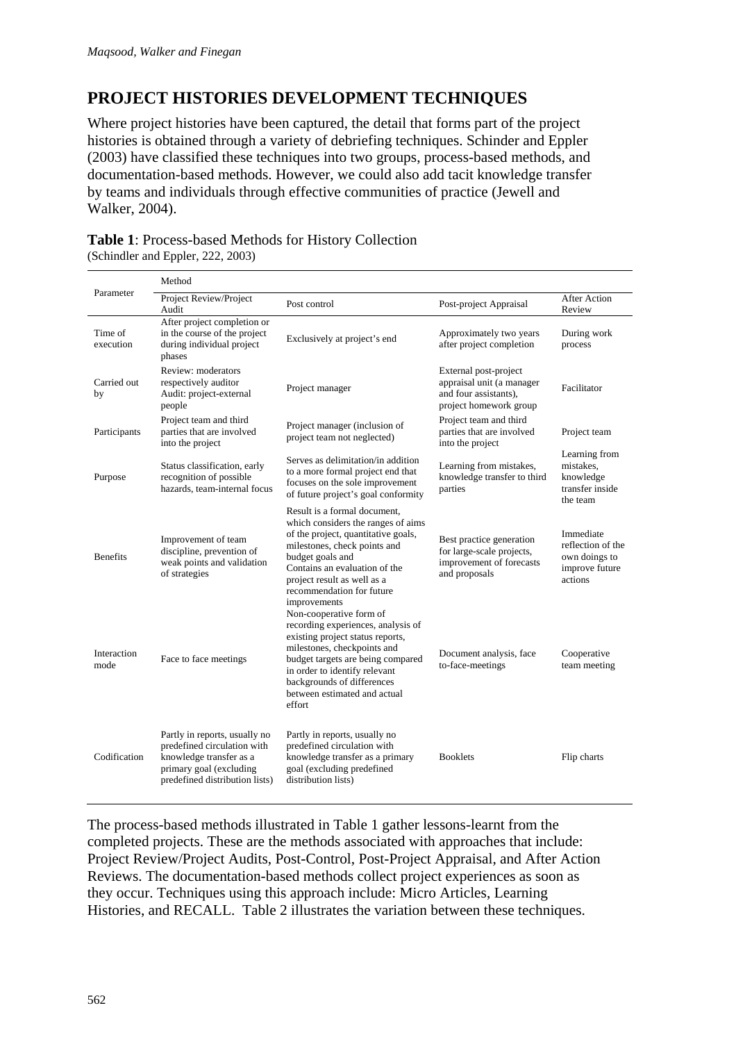## **PROJECT HISTORIES DEVELOPMENT TECHNIQUES**

Where project histories have been captured, the detail that forms part of the project histories is obtained through a variety of debriefing techniques. Schinder and Eppler (2003) have classified these techniques into two groups, process-based methods, and documentation-based methods. However, we could also add tacit knowledge transfer by teams and individuals through effective communities of practice (Jewell and Walker, 2004).

#### **Table 1**: Process-based Methods for History Collection (Schindler and Eppler, 222, 2003)

|                      | Method                                                                                                                                               |                                                                                                                                                                                                                                                                                |                                                                                                       |                                                                              |  |
|----------------------|------------------------------------------------------------------------------------------------------------------------------------------------------|--------------------------------------------------------------------------------------------------------------------------------------------------------------------------------------------------------------------------------------------------------------------------------|-------------------------------------------------------------------------------------------------------|------------------------------------------------------------------------------|--|
| Parameter            | Project Review/Project<br>Audit                                                                                                                      | Post control                                                                                                                                                                                                                                                                   | Post-project Appraisal                                                                                | <b>After Action</b><br>Review                                                |  |
| Time of<br>execution | After project completion or<br>in the course of the project<br>during individual project<br>phases                                                   | Exclusively at project's end                                                                                                                                                                                                                                                   | Approximately two years<br>after project completion                                                   | During work<br>process                                                       |  |
| Carried out<br>by    | Review: moderators<br>respectively auditor<br>Audit: project-external<br>people                                                                      | Project manager                                                                                                                                                                                                                                                                | External post-project<br>appraisal unit (a manager<br>and four assistants).<br>project homework group | Facilitator                                                                  |  |
| Participants         | Project team and third<br>parties that are involved<br>into the project                                                                              | Project manager (inclusion of<br>project team not neglected)                                                                                                                                                                                                                   | Project team and third<br>parties that are involved<br>into the project                               | Project team                                                                 |  |
| Purpose              | Status classification, early<br>recognition of possible<br>hazards, team-internal focus                                                              | Serves as delimitation/in addition<br>to a more formal project end that<br>focuses on the sole improvement<br>of future project's goal conformity                                                                                                                              | Learning from mistakes,<br>knowledge transfer to third<br>parties                                     | Learning from<br>mistakes.<br>knowledge<br>transfer inside<br>the team       |  |
| <b>Benefits</b>      | Improvement of team<br>discipline, prevention of<br>weak points and validation<br>of strategies                                                      | Result is a formal document,<br>which considers the ranges of aims<br>of the project, quantitative goals,<br>milestones, check points and<br>budget goals and<br>Contains an evaluation of the<br>project result as well as a<br>recommendation for future<br>improvements     | Best practice generation<br>for large-scale projects,<br>improvement of forecasts<br>and proposals    | Immediate<br>reflection of the<br>own doings to<br>improve future<br>actions |  |
| Interaction<br>mode  | Face to face meetings                                                                                                                                | Non-cooperative form of<br>recording experiences, analysis of<br>existing project status reports,<br>milestones, checkpoints and<br>budget targets are being compared<br>in order to identify relevant<br>backgrounds of differences<br>between estimated and actual<br>effort | Document analysis, face<br>to-face-meetings                                                           | Cooperative<br>team meeting                                                  |  |
| Codification         | Partly in reports, usually no<br>predefined circulation with<br>knowledge transfer as a<br>primary goal (excluding<br>predefined distribution lists) | Partly in reports, usually no<br>predefined circulation with<br>knowledge transfer as a primary<br>goal (excluding predefined<br>distribution lists)                                                                                                                           | <b>Booklets</b>                                                                                       | Flip charts                                                                  |  |

The process-based methods illustrated in Table 1 gather lessons-learnt from the completed projects. These are the methods associated with approaches that include: Project Review/Project Audits, Post-Control, Post-Project Appraisal, and After Action Reviews. The documentation-based methods collect project experiences as soon as they occur. Techniques using this approach include: Micro Articles, Learning Histories, and RECALL. Table 2 illustrates the variation between these techniques.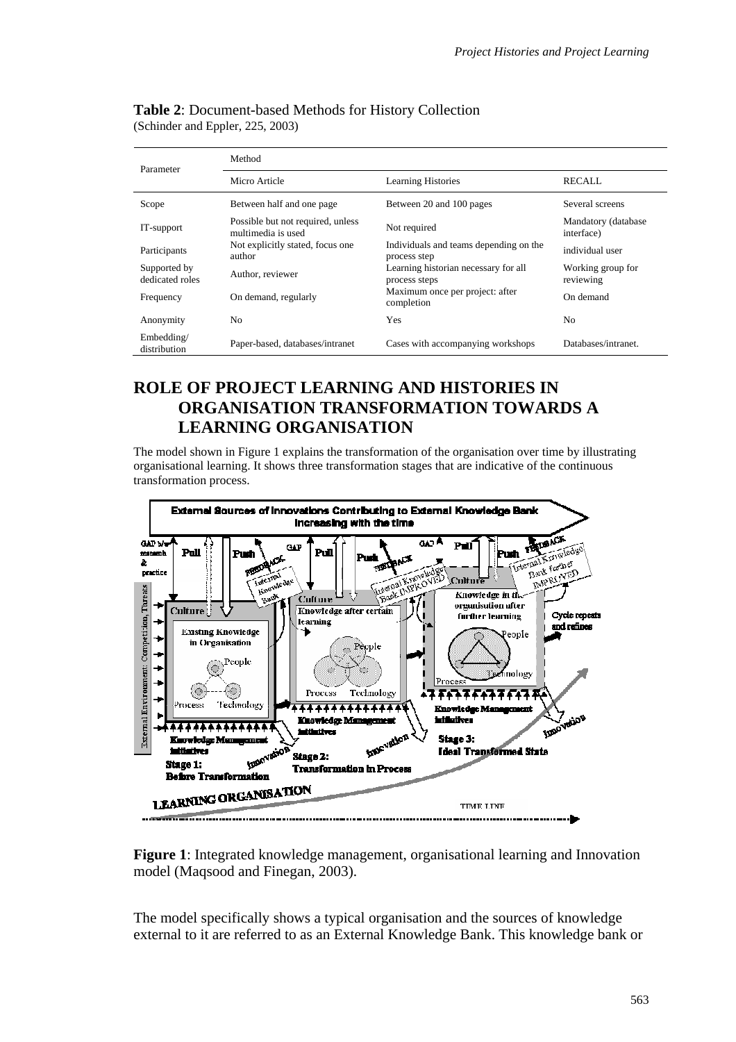| Parameter                       | Method                                                  |                                                        |                                    |  |
|---------------------------------|---------------------------------------------------------|--------------------------------------------------------|------------------------------------|--|
|                                 | Micro Article                                           | <b>Learning Histories</b>                              | <b>RECALL</b>                      |  |
| Scope                           | Between half and one page                               | Between 20 and 100 pages                               | Several screens                    |  |
| IT-support                      | Possible but not required, unless<br>multimedia is used | Not required                                           | Mandatory (database)<br>interface) |  |
| Participants                    | Not explicitly stated, focus one<br>author              | Individuals and teams depending on the<br>process step | individual user                    |  |
| Supported by<br>dedicated roles | Author, reviewer                                        | Learning historian necessary for all<br>process steps  | Working group for<br>reviewing     |  |
| Frequency                       | On demand, regularly                                    | Maximum once per project: after<br>completion          | On demand                          |  |
| Anonymity                       | No                                                      | Yes                                                    | N <sub>0</sub>                     |  |
| Embedding/<br>distribution      | Paper-based, databases/intranet                         | Cases with accompanying workshops                      | Databases/intranet.                |  |

#### **Table 2**: Document-based Methods for History Collection (Schinder and Eppler, 225, 2003)

## **ROLE OF PROJECT LEARNING AND HISTORIES IN ORGANISATION TRANSFORMATION TOWARDS A LEARNING ORGANISATION**

The model shown in Figure 1 explains the transformation of the organisation over time by illustrating organisational learning. It shows three transformation stages that are indicative of the continuous transformation process.



**Figure 1**: Integrated knowledge management, organisational learning and Innovation model (Maqsood and Finegan, 2003).

The model specifically shows a typical organisation and the sources of knowledge external to it are referred to as an External Knowledge Bank. This knowledge bank or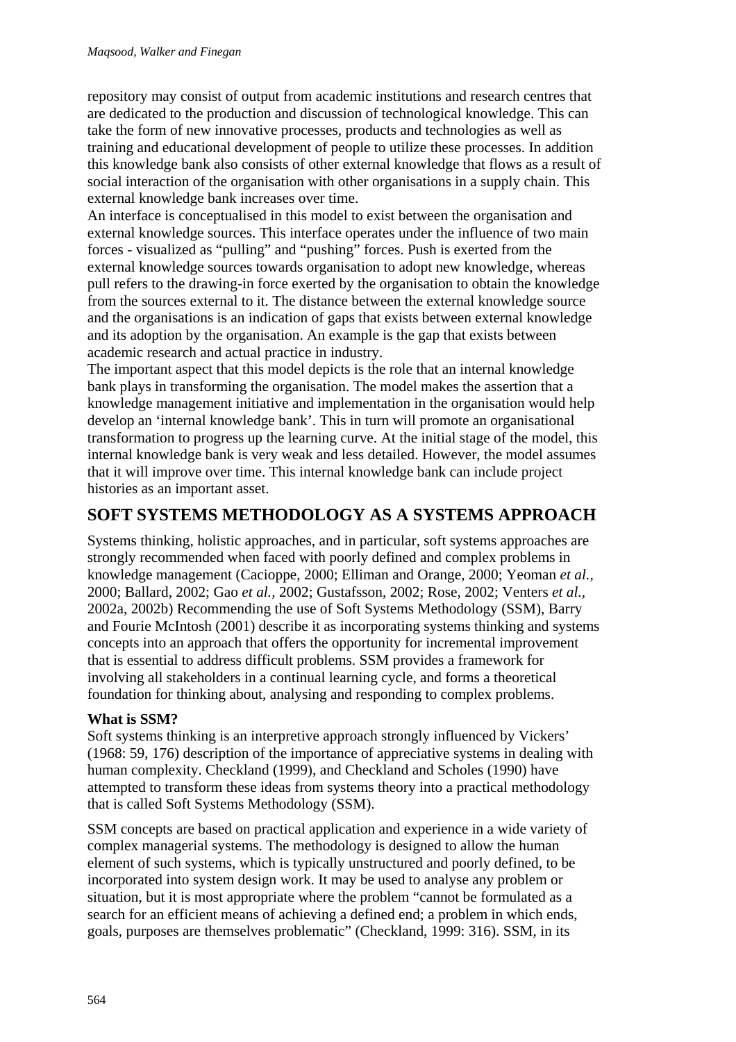repository may consist of output from academic institutions and research centres that are dedicated to the production and discussion of technological knowledge. This can take the form of new innovative processes, products and technologies as well as training and educational development of people to utilize these processes. In addition this knowledge bank also consists of other external knowledge that flows as a result of social interaction of the organisation with other organisations in a supply chain. This external knowledge bank increases over time.

An interface is conceptualised in this model to exist between the organisation and external knowledge sources. This interface operates under the influence of two main forces - visualized as "pulling" and "pushing" forces. Push is exerted from the external knowledge sources towards organisation to adopt new knowledge, whereas pull refers to the drawing-in force exerted by the organisation to obtain the knowledge from the sources external to it. The distance between the external knowledge source and the organisations is an indication of gaps that exists between external knowledge and its adoption by the organisation. An example is the gap that exists between academic research and actual practice in industry.

The important aspect that this model depicts is the role that an internal knowledge bank plays in transforming the organisation. The model makes the assertion that a knowledge management initiative and implementation in the organisation would help develop an 'internal knowledge bank'. This in turn will promote an organisational transformation to progress up the learning curve. At the initial stage of the model, this internal knowledge bank is very weak and less detailed. However, the model assumes that it will improve over time. This internal knowledge bank can include project histories as an important asset.

## **SOFT SYSTEMS METHODOLOGY AS A SYSTEMS APPROACH**

Systems thinking, holistic approaches, and in particular, soft systems approaches are strongly recommended when faced with poorly defined and complex problems in knowledge management (Cacioppe, 2000; Elliman and Orange, 2000; Yeoman *et al.,* 2000; Ballard, 2002; Gao *et al.,* 2002; Gustafsson, 2002; Rose, 2002; Venters *et al.,* 2002a, 2002b) Recommending the use of Soft Systems Methodology (SSM), Barry and Fourie McIntosh (2001) describe it as incorporating systems thinking and systems concepts into an approach that offers the opportunity for incremental improvement that is essential to address difficult problems. SSM provides a framework for involving all stakeholders in a continual learning cycle, and forms a theoretical foundation for thinking about, analysing and responding to complex problems.

### **What is SSM?**

Soft systems thinking is an interpretive approach strongly influenced by Vickers' (1968: 59, 176) description of the importance of appreciative systems in dealing with human complexity. Checkland (1999), and Checkland and Scholes (1990) have attempted to transform these ideas from systems theory into a practical methodology that is called Soft Systems Methodology (SSM).

SSM concepts are based on practical application and experience in a wide variety of complex managerial systems. The methodology is designed to allow the human element of such systems, which is typically unstructured and poorly defined, to be incorporated into system design work. It may be used to analyse any problem or situation, but it is most appropriate where the problem "cannot be formulated as a search for an efficient means of achieving a defined end; a problem in which ends, goals, purposes are themselves problematic" (Checkland, 1999: 316). SSM, in its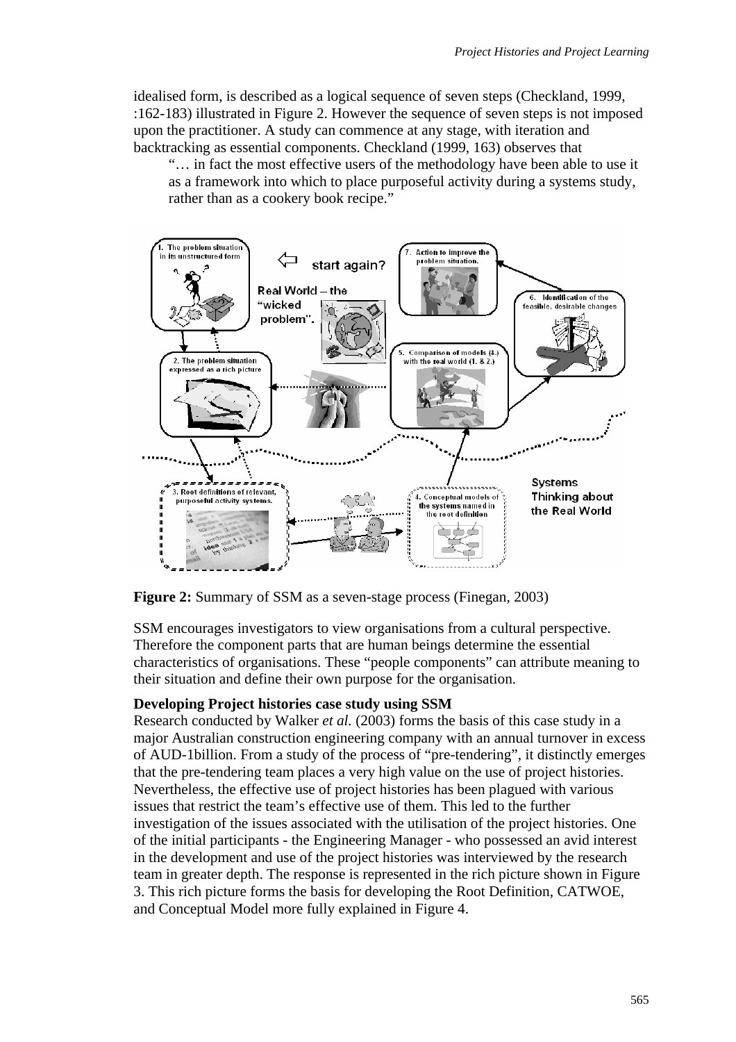idealised form, is described as a logical sequence of seven steps (Checkland, 1999, :162-183) illustrated in Figure 2. However the sequence of seven steps is not imposed upon the practitioner. A study can commence at any stage, with iteration and backtracking as essential components. Checkland (1999, 163) observes that

"… in fact the most effective users of the methodology have been able to use it as a framework into which to place purposeful activity during a systems study, rather than as a cookery book recipe."



**Figure 2:** Summary of SSM as a seven-stage process (Finegan, 2003)

SSM encourages investigators to view organisations from a cultural perspective. Therefore the component parts that are human beings determine the essential characteristics of organisations. These "people components" can attribute meaning to their situation and define their own purpose for the organisation.

#### **Developing Project histories case study using SSM**

Research conducted by Walker *et al.* (2003) forms the basis of this case study in a major Australian construction engineering company with an annual turnover in excess of AUD-1billion. From a study of the process of "pre-tendering", it distinctly emerges that the pre-tendering team places a very high value on the use of project histories. Nevertheless, the effective use of project histories has been plagued with various issues that restrict the team's effective use of them. This led to the further investigation of the issues associated with the utilisation of the project histories. One of the initial participants - the Engineering Manager - who possessed an avid interest in the development and use of the project histories was interviewed by the research team in greater depth. The response is represented in the rich picture shown in Figure 3. This rich picture forms the basis for developing the Root Definition, CATWOE, and Conceptual Model more fully explained in Figure 4.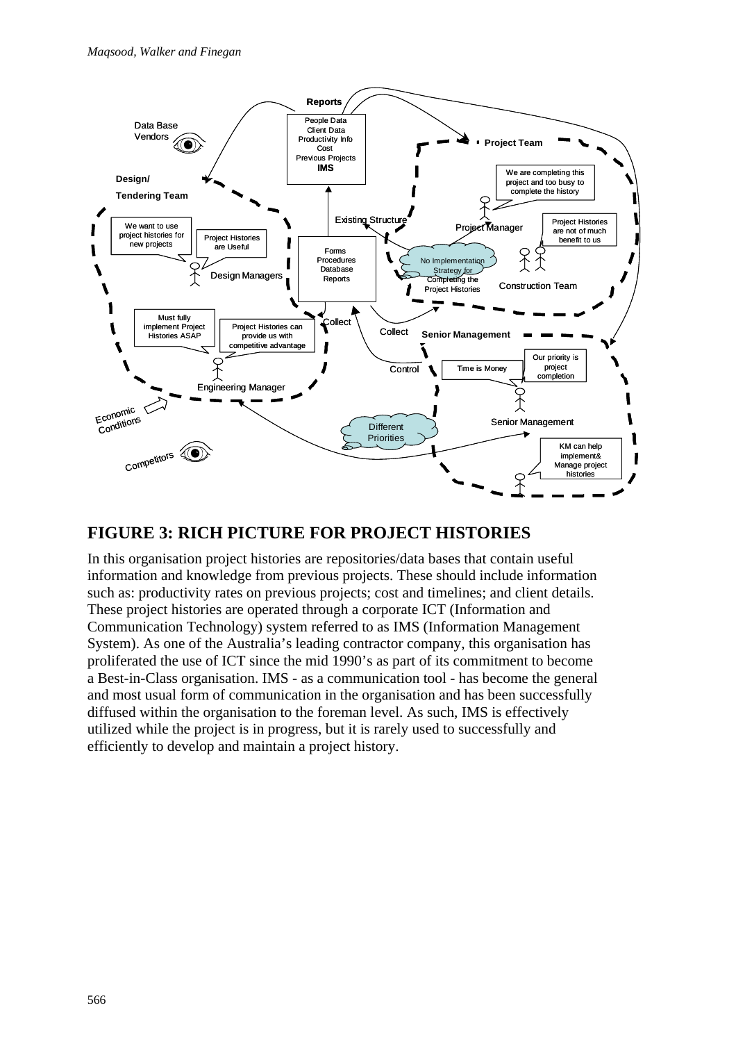

### **FIGURE 3: RICH PICTURE FOR PROJECT HISTORIES**

In this organisation project histories are repositories/data bases that contain useful information and knowledge from previous projects. These should include information such as: productivity rates on previous projects; cost and timelines; and client details. These project histories are operated through a corporate ICT (Information and Communication Technology) system referred to as IMS (Information Management System). As one of the Australia's leading contractor company, this organisation has proliferated the use of ICT since the mid 1990's as part of its commitment to become a Best-in-Class organisation. IMS - as a communication tool - has become the general and most usual form of communication in the organisation and has been successfully diffused within the organisation to the foreman level. As such, IMS is effectively utilized while the project is in progress, but it is rarely used to successfully and efficiently to develop and maintain a project history.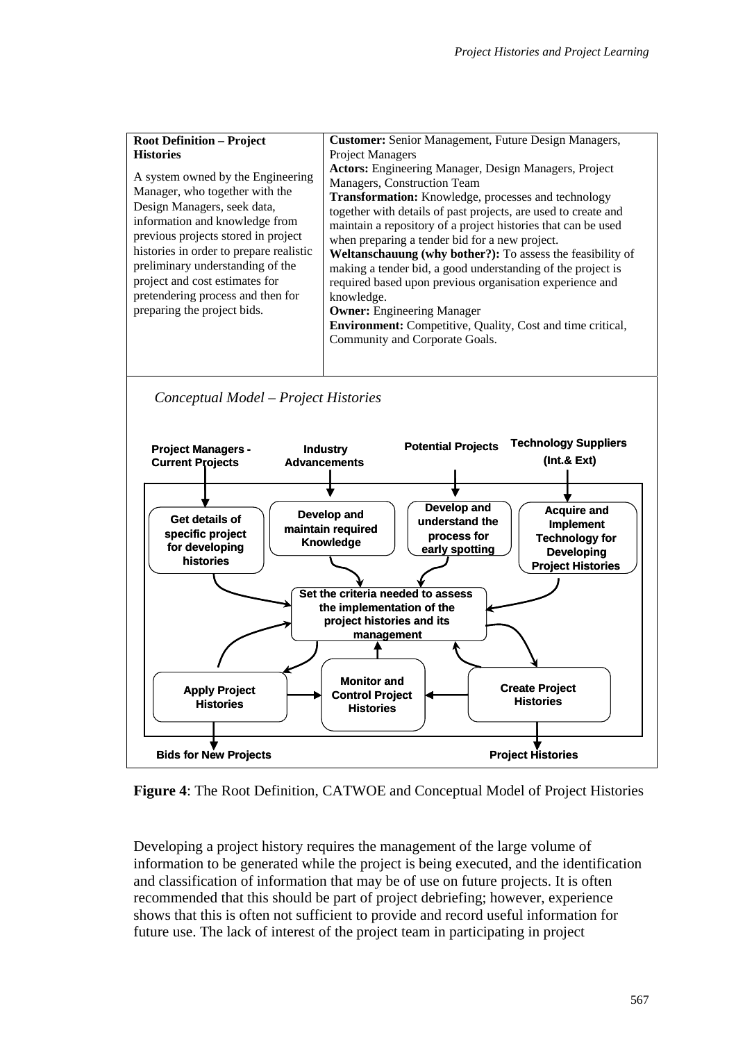| <b>Root Definition – Project</b>                                                                                                                                                                                                                                                                                                                                 | <b>Customer:</b> Senior Management, Future Design Managers,                                                                                                                                                                                                                                                                                                                                                                                                                                                                                                                                                                                                                         |  |
|------------------------------------------------------------------------------------------------------------------------------------------------------------------------------------------------------------------------------------------------------------------------------------------------------------------------------------------------------------------|-------------------------------------------------------------------------------------------------------------------------------------------------------------------------------------------------------------------------------------------------------------------------------------------------------------------------------------------------------------------------------------------------------------------------------------------------------------------------------------------------------------------------------------------------------------------------------------------------------------------------------------------------------------------------------------|--|
| <b>Histories</b>                                                                                                                                                                                                                                                                                                                                                 | <b>Project Managers</b>                                                                                                                                                                                                                                                                                                                                                                                                                                                                                                                                                                                                                                                             |  |
| A system owned by the Engineering<br>Manager, who together with the<br>Design Managers, seek data,<br>information and knowledge from<br>previous projects stored in project<br>histories in order to prepare realistic<br>preliminary understanding of the<br>project and cost estimates for<br>pretendering process and then for<br>preparing the project bids. | Actors: Engineering Manager, Design Managers, Project<br>Managers, Construction Team<br>Transformation: Knowledge, processes and technology<br>together with details of past projects, are used to create and<br>maintain a repository of a project histories that can be used<br>when preparing a tender bid for a new project.<br>Weltanschauung (why bother?): To assess the feasibility of<br>making a tender bid, a good understanding of the project is<br>required based upon previous organisation experience and<br>knowledge.<br><b>Owner:</b> Engineering Manager<br><b>Environment:</b> Competitive, Quality, Cost and time critical,<br>Community and Corporate Goals. |  |

*Conceptual Model – Project Histories* 



**Figure 4**: The Root Definition, CATWOE and Conceptual Model of Project Histories

Developing a project history requires the management of the large volume of information to be generated while the project is being executed, and the identification and classification of information that may be of use on future projects. It is often recommended that this should be part of project debriefing; however, experience shows that this is often not sufficient to provide and record useful information for future use. The lack of interest of the project team in participating in project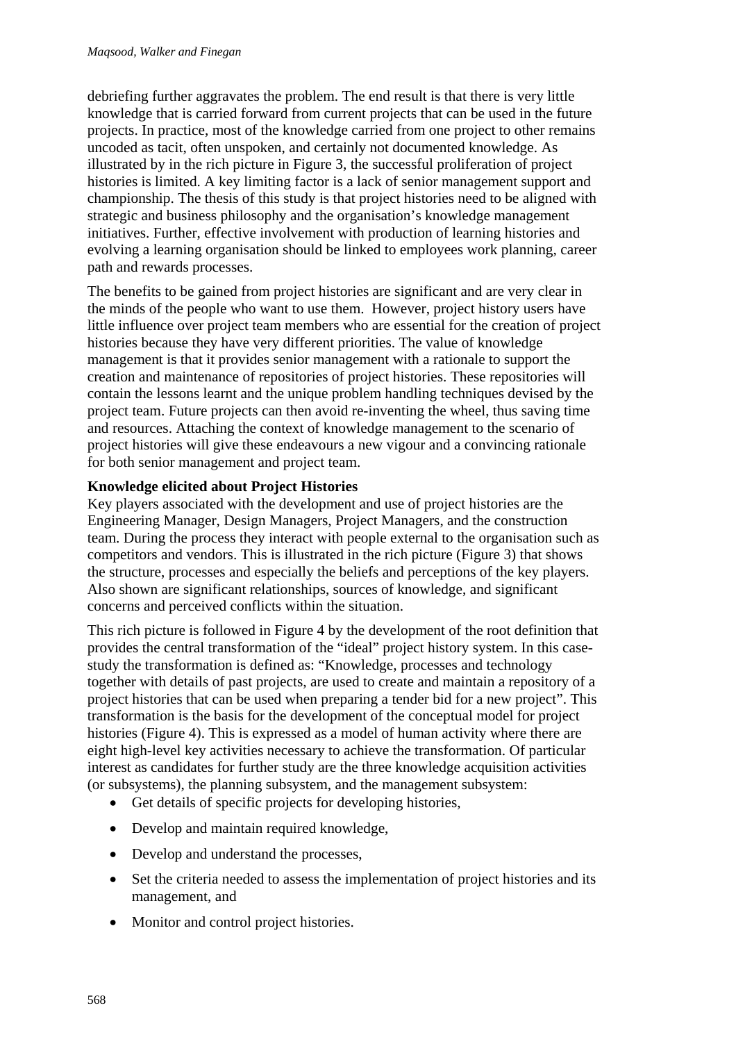debriefing further aggravates the problem. The end result is that there is very little knowledge that is carried forward from current projects that can be used in the future projects. In practice, most of the knowledge carried from one project to other remains uncoded as tacit, often unspoken, and certainly not documented knowledge. As illustrated by in the rich picture in Figure 3, the successful proliferation of project histories is limited. A key limiting factor is a lack of senior management support and championship. The thesis of this study is that project histories need to be aligned with strategic and business philosophy and the organisation's knowledge management initiatives. Further, effective involvement with production of learning histories and evolving a learning organisation should be linked to employees work planning, career path and rewards processes.

The benefits to be gained from project histories are significant and are very clear in the minds of the people who want to use them. However, project history users have little influence over project team members who are essential for the creation of project histories because they have very different priorities. The value of knowledge management is that it provides senior management with a rationale to support the creation and maintenance of repositories of project histories. These repositories will contain the lessons learnt and the unique problem handling techniques devised by the project team. Future projects can then avoid re-inventing the wheel, thus saving time and resources. Attaching the context of knowledge management to the scenario of project histories will give these endeavours a new vigour and a convincing rationale for both senior management and project team.

#### **Knowledge elicited about Project Histories**

Key players associated with the development and use of project histories are the Engineering Manager, Design Managers, Project Managers, and the construction team. During the process they interact with people external to the organisation such as competitors and vendors. This is illustrated in the rich picture (Figure 3) that shows the structure, processes and especially the beliefs and perceptions of the key players. Also shown are significant relationships, sources of knowledge, and significant concerns and perceived conflicts within the situation.

This rich picture is followed in Figure 4 by the development of the root definition that provides the central transformation of the "ideal" project history system. In this casestudy the transformation is defined as: "Knowledge, processes and technology together with details of past projects, are used to create and maintain a repository of a project histories that can be used when preparing a tender bid for a new project". This transformation is the basis for the development of the conceptual model for project histories (Figure 4). This is expressed as a model of human activity where there are eight high-level key activities necessary to achieve the transformation. Of particular interest as candidates for further study are the three knowledge acquisition activities (or subsystems), the planning subsystem, and the management subsystem:

- Get details of specific projects for developing histories,
- Develop and maintain required knowledge,
- Develop and understand the processes,
- Set the criteria needed to assess the implementation of project histories and its management, and
- Monitor and control project histories.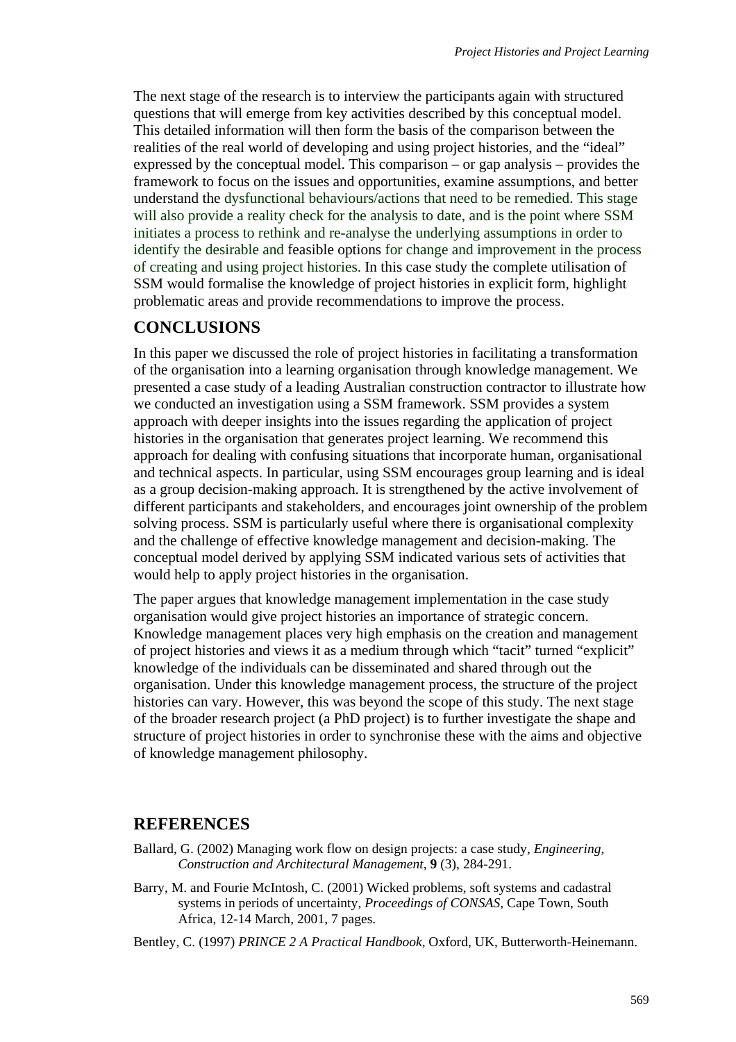The next stage of the research is to interview the participants again with structured questions that will emerge from key activities described by this conceptual model. This detailed information will then form the basis of the comparison between the realities of the real world of developing and using project histories, and the "ideal" expressed by the conceptual model. This comparison – or gap analysis – provides the framework to focus on the issues and opportunities, examine assumptions, and better understand the dysfunctional behaviours/actions that need to be remedied. This stage will also provide a reality check for the analysis to date, and is the point where SSM initiates a process to rethink and re-analyse the underlying assumptions in order to identify the desirable and feasible options for change and improvement in the process of creating and using project histories. In this case study the complete utilisation of SSM would formalise the knowledge of project histories in explicit form, highlight problematic areas and provide recommendations to improve the process.

### **CONCLUSIONS**

In this paper we discussed the role of project histories in facilitating a transformation of the organisation into a learning organisation through knowledge management. We presented a case study of a leading Australian construction contractor to illustrate how we conducted an investigation using a SSM framework. SSM provides a system approach with deeper insights into the issues regarding the application of project histories in the organisation that generates project learning. We recommend this approach for dealing with confusing situations that incorporate human, organisational and technical aspects. In particular, using SSM encourages group learning and is ideal as a group decision-making approach. It is strengthened by the active involvement of different participants and stakeholders, and encourages joint ownership of the problem solving process. SSM is particularly useful where there is organisational complexity and the challenge of effective knowledge management and decision-making. The conceptual model derived by applying SSM indicated various sets of activities that would help to apply project histories in the organisation.

The paper argues that knowledge management implementation in the case study organisation would give project histories an importance of strategic concern. Knowledge management places very high emphasis on the creation and management of project histories and views it as a medium through which "tacit" turned "explicit" knowledge of the individuals can be disseminated and shared through out the organisation. Under this knowledge management process, the structure of the project histories can vary. However, this was beyond the scope of this study. The next stage of the broader research project (a PhD project) is to further investigate the shape and structure of project histories in order to synchronise these with the aims and objective of knowledge management philosophy.

### **REFERENCES**

- Ballard, G. (2002) Managing work flow on design projects: a case study, *Engineering, Construction and Architectural Management,* **9** (3), 284-291.
- Barry, M. and Fourie McIntosh, C. (2001) Wicked problems, soft systems and cadastral systems in periods of uncertainty, *Proceedings of CONSAS,* Cape Town, South Africa, 12-14 March, 2001, 7 pages.
- Bentley, C. (1997) *PRINCE 2 A Practical Handbook,* Oxford, UK, Butterworth-Heinemann.